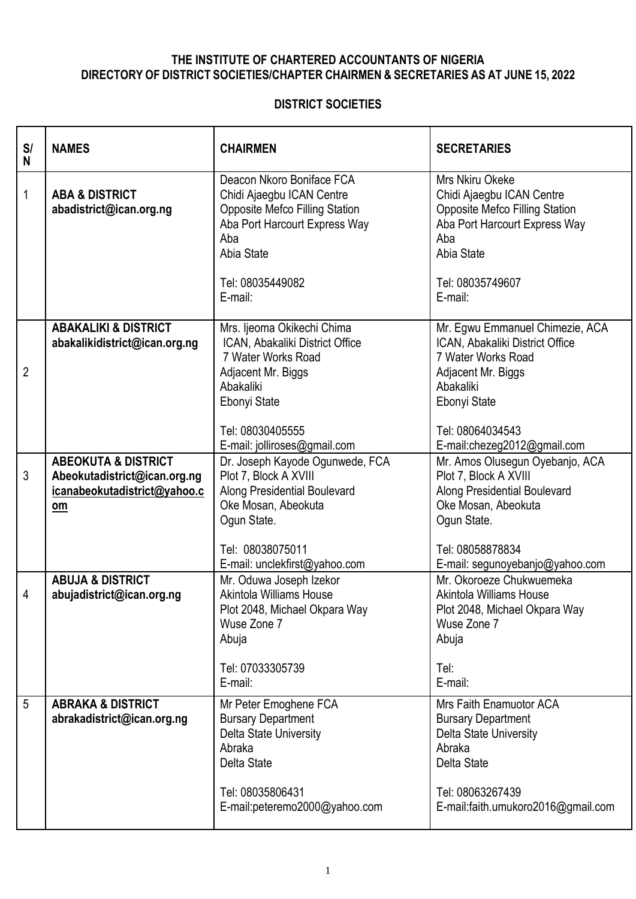## **THE INSTITUTE OF CHARTERED ACCOUNTANTS OF NIGERIA DIRECTORY OF DISTRICT SOCIETIES/CHAPTER CHAIRMEN & SECRETARIES AS AT JUNE 15, 2022**

## **DISTRICT SOCIETIES**

| S/<br>N        | <b>NAMES</b>                                                                                         | <b>CHAIRMEN</b>                                                                                                                                                                            | <b>SECRETARIES</b>                                                                                                                                                                             |
|----------------|------------------------------------------------------------------------------------------------------|--------------------------------------------------------------------------------------------------------------------------------------------------------------------------------------------|------------------------------------------------------------------------------------------------------------------------------------------------------------------------------------------------|
| 1              | <b>ABA &amp; DISTRICT</b><br>abadistrict@ican.org.ng                                                 | Deacon Nkoro Boniface FCA<br>Chidi Ajaegbu ICAN Centre<br><b>Opposite Mefco Filling Station</b><br>Aba Port Harcourt Express Way<br>Aba<br>Abia State<br>Tel: 08035449082<br>E-mail:       | Mrs Nkiru Okeke<br>Chidi Ajaegbu ICAN Centre<br><b>Opposite Mefco Filling Station</b><br>Aba Port Harcourt Express Way<br>Aba<br>Abia State<br>Tel: 08035749607<br>E-mail:                     |
| $\overline{2}$ | <b>ABAKALIKI &amp; DISTRICT</b><br>abakalikidistrict@ican.org.ng                                     | Mrs. Ijeoma Okikechi Chima<br>ICAN, Abakaliki District Office<br>7 Water Works Road<br>Adjacent Mr. Biggs<br>Abakaliki<br>Ebonyi State<br>Tel: 08030405555<br>E-mail: jolliroses@gmail.com | Mr. Egwu Emmanuel Chimezie, ACA<br>ICAN, Abakaliki District Office<br>7 Water Works Road<br>Adjacent Mr. Biggs<br>Abakaliki<br>Ebonyi State<br>Tel: 08064034543<br>E-mail:chezeg2012@gmail.com |
| 3              | <b>ABEOKUTA &amp; DISTRICT</b><br>Abeokutadistrict@ican.org.ng<br>icanabeokutadistrict@yahoo.c<br>om | Dr. Joseph Kayode Ogunwede, FCA<br>Plot 7, Block A XVIII<br>Along Presidential Boulevard<br>Oke Mosan, Abeokuta<br>Ogun State.<br>Tel: 08038075011<br>E-mail: unclekfirst@yahoo.com        | Mr. Amos Olusegun Oyebanjo, ACA<br>Plot 7, Block A XVIII<br><b>Along Presidential Boulevard</b><br>Oke Mosan, Abeokuta<br>Ogun State.<br>Tel: 08058878834<br>E-mail: segunoyebanjo@yahoo.com   |
| 4              | <b>ABUJA &amp; DISTRICT</b><br>abujadistrict@ican.org.ng                                             | Mr. Oduwa Joseph Izekor<br>Akintola Williams House<br>Plot 2048, Michael Okpara Way<br>Wuse Zone 7<br>Abuja<br>Tel: 07033305739<br>E-mail:                                                 | Mr. Okoroeze Chukwuemeka<br><b>Akintola Williams House</b><br>Plot 2048, Michael Okpara Way<br>Wuse Zone 7<br>Abuja<br>Tel:<br>E-mail:                                                         |
| 5              | <b>ABRAKA &amp; DISTRICT</b><br>abrakadistrict@ican.org.ng                                           | Mr Peter Emoghene FCA<br><b>Bursary Department</b><br>Delta State University<br>Abraka<br>Delta State<br>Tel: 08035806431<br>E-mail:peteremo2000@yahoo.com                                 | Mrs Faith Enamuotor ACA<br><b>Bursary Department</b><br>Delta State University<br>Abraka<br>Delta State<br>Tel: 08063267439<br>E-mail:faith.umukoro2016@gmail.com                              |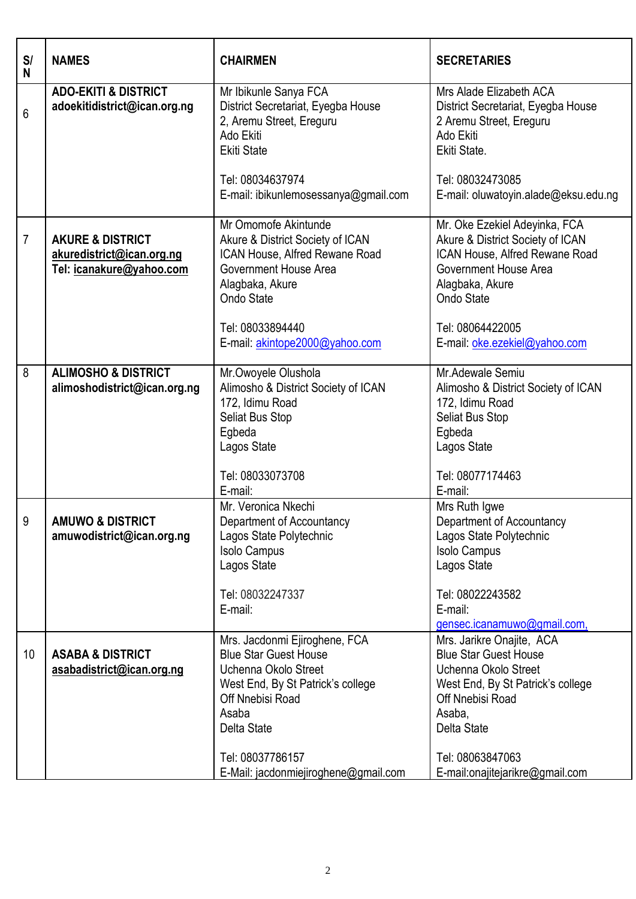| S/<br>N        | <b>NAMES</b>                                                                         | <b>CHAIRMEN</b>                                                                                                                                                                                                                    | <b>SECRETARIES</b>                                                                                                                                                                                                         |
|----------------|--------------------------------------------------------------------------------------|------------------------------------------------------------------------------------------------------------------------------------------------------------------------------------------------------------------------------------|----------------------------------------------------------------------------------------------------------------------------------------------------------------------------------------------------------------------------|
| 6              | <b>ADO-EKITI &amp; DISTRICT</b><br>adoekitidistrict@ican.org.ng                      | Mr Ibikunle Sanya FCA<br>District Secretariat, Eyegba House<br>2, Aremu Street, Ereguru<br>Ado Ekiti<br><b>Ekiti State</b>                                                                                                         | Mrs Alade Elizabeth ACA<br>District Secretariat, Eyegba House<br>2 Aremu Street, Ereguru<br>Ado Ekiti<br>Ekiti State.                                                                                                      |
|                |                                                                                      | Tel: 08034637974<br>E-mail: ibikunlemosessanya@gmail.com                                                                                                                                                                           | Tel: 08032473085<br>E-mail: oluwatoyin.alade@eksu.edu.ng                                                                                                                                                                   |
| $\overline{7}$ | <b>AKURE &amp; DISTRICT</b><br>akuredistrict@ican.org.ng<br>Tel: icanakure@yahoo.com | Mr Omomofe Akintunde<br>Akure & District Society of ICAN<br>ICAN House, Alfred Rewane Road<br>Government House Area<br>Alagbaka, Akure<br>Ondo State<br>Tel: 08033894440<br>E-mail: akintope2000@yahoo.com                         | Mr. Oke Ezekiel Adeyinka, FCA<br>Akure & District Society of ICAN<br>ICAN House, Alfred Rewane Road<br>Government House Area<br>Alagbaka, Akure<br>Ondo State<br>Tel: 08064422005<br>E-mail: oke.ezekiel@yahoo.com         |
| 8              | <b>ALIMOSHO &amp; DISTRICT</b><br>alimoshodistrict@ican.org.ng                       | Mr.Owoyele Olushola<br>Alimosho & District Society of ICAN<br>172, Idimu Road<br>Seliat Bus Stop<br>Egbeda<br>Lagos State<br>Tel: 08033073708<br>E-mail:                                                                           | Mr.Adewale Semiu<br>Alimosho & District Society of ICAN<br>172, Idimu Road<br><b>Seliat Bus Stop</b><br>Egbeda<br>Lagos State<br>Tel: 08077174463<br>E-mail:                                                               |
| 9              | <b>AMUWO &amp; DISTRICT</b><br>amuwodistrict@ican.org.ng                             | Mr. Veronica Nkechi<br>Department of Accountancy<br>Lagos State Polytechnic<br><b>Isolo Campus</b><br>Lagos State<br>Tel: 08032247337<br>E-mail:                                                                                   | Mrs Ruth Igwe<br>Department of Accountancy<br>Lagos State Polytechnic<br><b>Isolo Campus</b><br>Lagos State<br>Tel: 08022243582<br>E-mail:<br>gensec.icanamuwo@gmail.com,                                                  |
| 10             | <b>ASABA &amp; DISTRICT</b><br>asabadistrict@ican.org.ng                             | Mrs. Jacdonmi Ejiroghene, FCA<br><b>Blue Star Guest House</b><br>Uchenna Okolo Street<br>West End, By St Patrick's college<br>Off Nnebisi Road<br>Asaba<br>Delta State<br>Tel: 08037786157<br>E-Mail: jacdonmiejiroghene@gmail.com | Mrs. Jarikre Onajite, ACA<br><b>Blue Star Guest House</b><br>Uchenna Okolo Street<br>West End, By St Patrick's college<br>Off Nnebisi Road<br>Asaba,<br>Delta State<br>Tel: 08063847063<br>E-mail:onajitejarikre@gmail.com |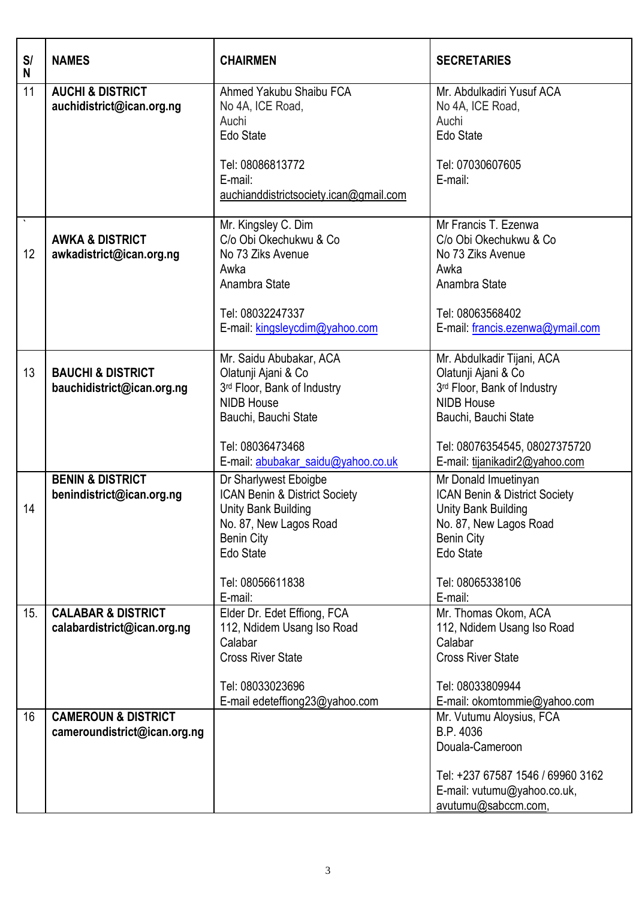| S/<br>N | <b>NAMES</b>                                                   | <b>CHAIRMEN</b>                                                                                                                           | <b>SECRETARIES</b>                                                                                                                       |
|---------|----------------------------------------------------------------|-------------------------------------------------------------------------------------------------------------------------------------------|------------------------------------------------------------------------------------------------------------------------------------------|
| 11      | <b>AUCHI &amp; DISTRICT</b><br>auchidistrict@ican.org.ng       | Ahmed Yakubu Shaibu FCA<br>No 4A, ICE Road,<br>Auchi<br>Edo State                                                                         | Mr. Abdulkadiri Yusuf ACA<br>No 4A, ICE Road,<br>Auchi<br>Edo State                                                                      |
|         |                                                                | Tel: 08086813772<br>E-mail:<br>auchianddistrictsociety.ican@gmail.com                                                                     | Tel: 07030607605<br>E-mail:                                                                                                              |
| 12      | <b>AWKA &amp; DISTRICT</b><br>awkadistrict@ican.org.ng         | Mr. Kingsley C. Dim<br>C/o Obi Okechukwu & Co<br>No 73 Ziks Avenue<br>Awka<br>Anambra State                                               | Mr Francis T. Ezenwa<br>C/o Obi Okechukwu & Co<br>No 73 Ziks Avenue<br>Awka<br>Anambra State                                             |
|         |                                                                | Tel: 08032247337<br>E-mail: kingsleycdim@yahoo.com                                                                                        | Tel: 08063568402<br>E-mail: francis.ezenwa@ymail.com                                                                                     |
| 13      | <b>BAUCHI &amp; DISTRICT</b><br>bauchidistrict@ican.org.ng     | Mr. Saidu Abubakar, ACA<br>Olatunji Ajani & Co<br>3rd Floor, Bank of Industry<br><b>NIDB House</b><br>Bauchi, Bauchi State                | Mr. Abdulkadir Tijani, ACA<br>Olatunji Ajani & Co<br>3rd Floor, Bank of Industry<br><b>NIDB House</b><br>Bauchi, Bauchi State            |
|         |                                                                | Tel: 08036473468<br>E-mail: abubakar_saidu@yahoo.co.uk                                                                                    | Tel: 08076354545, 08027375720<br>E-mail: tijanikadir2@yahoo.com                                                                          |
| 14      | <b>BENIN &amp; DISTRICT</b><br>benindistrict@ican.org.ng       | Dr Sharlywest Eboigbe<br>ICAN Benin & District Society<br>Unity Bank Building<br>No. 87, New Lagos Road<br><b>Benin City</b><br>Edo State | Mr Donald Imuetinyan<br>ICAN Benin & District Society<br>Unity Bank Building<br>No. 87, New Lagos Road<br><b>Benin City</b><br>Edo State |
|         |                                                                | Tel: 08056611838<br>E-mail:                                                                                                               | Tel: 08065338106<br>E-mail:                                                                                                              |
| 15.     | <b>CALABAR &amp; DISTRICT</b><br>calabardistrict@ican.org.ng   | Elder Dr. Edet Effiong, FCA<br>112, Ndidem Usang Iso Road<br>Calabar<br><b>Cross River State</b>                                          | Mr. Thomas Okom, ACA<br>112, Ndidem Usang Iso Road<br>Calabar<br><b>Cross River State</b>                                                |
|         |                                                                | Tel: 08033023696<br>E-mail edeteffiong23@yahoo.com                                                                                        | Tel: 08033809944<br>E-mail: okomtommie@yahoo.com                                                                                         |
| 16      | <b>CAMEROUN &amp; DISTRICT</b><br>cameroundistrict@ican.org.ng |                                                                                                                                           | Mr. Vutumu Aloysius, FCA<br>B.P. 4036<br>Douala-Cameroon                                                                                 |
|         |                                                                |                                                                                                                                           | Tel: +237 67587 1546 / 69960 3162<br>E-mail: vutumu@yahoo.co.uk,<br>avutumu@sabccm.com,                                                  |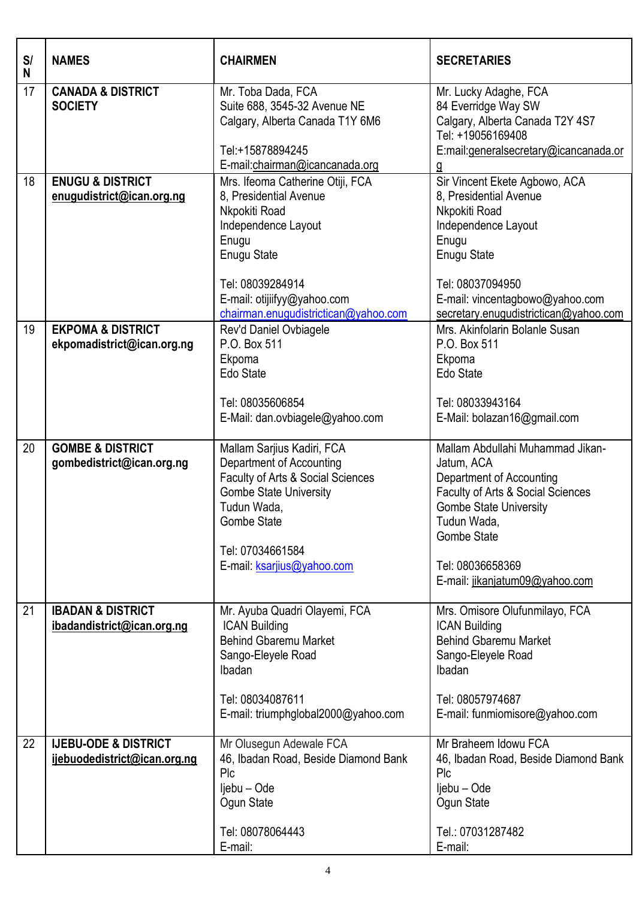| S/<br>N | <b>NAMES</b>                                                    | <b>CHAIRMEN</b>                                                                                                                                                                                                              | <b>SECRETARIES</b>                                                                                                                                                                                                                          |
|---------|-----------------------------------------------------------------|------------------------------------------------------------------------------------------------------------------------------------------------------------------------------------------------------------------------------|---------------------------------------------------------------------------------------------------------------------------------------------------------------------------------------------------------------------------------------------|
| 17      | <b>CANADA &amp; DISTRICT</b><br><b>SOCIETY</b>                  | Mr. Toba Dada, FCA<br>Suite 688, 3545-32 Avenue NE<br>Calgary, Alberta Canada T1Y 6M6<br>Tel:+15878894245<br>E-mail:chairman@icancanada.org                                                                                  | Mr. Lucky Adaghe, FCA<br>84 Everridge Way SW<br>Calgary, Alberta Canada T2Y 4S7<br>Tel: +19056169408<br>E:mail:generalsecretary@icancanada.or<br>g                                                                                          |
| 18      | <b>ENUGU &amp; DISTRICT</b><br>enugudistrict@ican.org.ng        | Mrs. Ifeoma Catherine Otiji, FCA<br>8, Presidential Avenue<br>Nkpokiti Road<br>Independence Layout<br>Enugu<br><b>Enugu State</b><br>Tel: 08039284914<br>E-mail: otijiifyy@yahoo.com<br>chairman.enugudistrictican@yahoo.com | Sir Vincent Ekete Agbowo, ACA<br>8, Presidential Avenue<br>Nkpokiti Road<br>Independence Layout<br>Enugu<br><b>Enugu State</b><br>Tel: 08037094950<br>E-mail: vincentagbowo@yahoo.com<br>secretary.enugudistrictican@yahoo.com              |
| 19      | <b>EKPOMA &amp; DISTRICT</b><br>ekpomadistrict@ican.org.ng      | Rev'd Daniel Ovbiagele<br>P.O. Box 511<br>Ekpoma<br>Edo State<br>Tel: 08035606854<br>E-Mail: dan.ovbiagele@yahoo.com                                                                                                         | Mrs. Akinfolarin Bolanle Susan<br>P.O. Box 511<br>Ekpoma<br>Edo State<br>Tel: 08033943164<br>E-Mail: bolazan16@gmail.com                                                                                                                    |
| 20      | <b>GOMBE &amp; DISTRICT</b><br>gombedistrict@ican.org.ng        | Mallam Sarjius Kadiri, FCA<br>Department of Accounting<br>Faculty of Arts & Social Sciences<br><b>Gombe State University</b><br>Tudun Wada,<br><b>Gombe State</b><br>Tel: 07034661584<br>E-mail: ksarjius@yahoo.com          | Mallam Abdullahi Muhammad Jikan-<br>Jatum, ACA<br>Department of Accounting<br>Faculty of Arts & Social Sciences<br><b>Gombe State University</b><br>Tudun Wada,<br><b>Gombe State</b><br>Tel: 08036658369<br>E-mail: jikanjatum09@yahoo.com |
| 21      | <b>IBADAN &amp; DISTRICT</b><br>ibadandistrict@ican.org.ng      | Mr. Ayuba Quadri Olayemi, FCA<br><b>ICAN Building</b><br><b>Behind Gbaremu Market</b><br>Sango-Eleyele Road<br>Ibadan<br>Tel: 08034087611<br>E-mail: triumphglobal2000@yahoo.com                                             | Mrs. Omisore Olufunmilayo, FCA<br><b>ICAN Building</b><br><b>Behind Gbaremu Market</b><br>Sango-Eleyele Road<br>Ibadan<br>Tel: 08057974687<br>E-mail: funmiomisore@yahoo.com                                                                |
| 22      | <b>IJEBU-ODE &amp; DISTRICT</b><br>ijebuodedistrict@ican.org.ng | Mr Olusegun Adewale FCA<br>46, Ibadan Road, Beside Diamond Bank<br>Plc<br>ljebu – Ode<br>Ogun State<br>Tel: 08078064443<br>E-mail:                                                                                           | Mr Braheem Idowu FCA<br>46, Ibadan Road, Beside Diamond Bank<br>Plc<br>ljebu – Ode<br>Ogun State<br>Tel.: 07031287482<br>E-mail:                                                                                                            |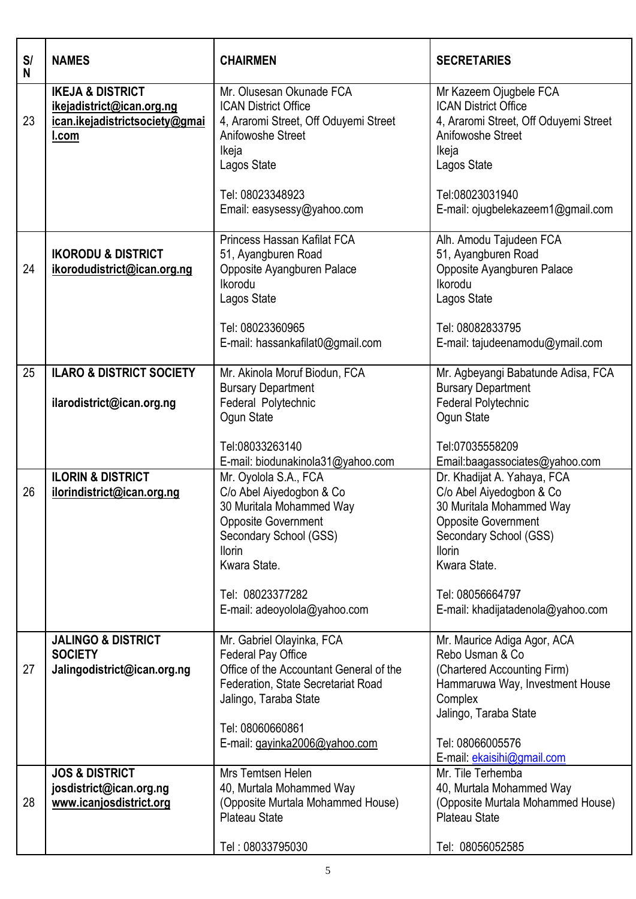| S/<br>N | <b>NAMES</b>                                                                                               | <b>CHAIRMEN</b>                                                                                                                                                                                                            | <b>SECRETARIES</b>                                                                                                                                                                                                                    |
|---------|------------------------------------------------------------------------------------------------------------|----------------------------------------------------------------------------------------------------------------------------------------------------------------------------------------------------------------------------|---------------------------------------------------------------------------------------------------------------------------------------------------------------------------------------------------------------------------------------|
| 23      | <b>IKEJA &amp; DISTRICT</b><br>ikejadistrict@ican.org.ng<br>ican.ikejadistrictsociety@gmai<br><u>I.com</u> | Mr. Olusesan Okunade FCA<br><b>ICAN District Office</b><br>4, Araromi Street, Off Oduyemi Street<br>Anifowoshe Street<br>Ikeja<br>Lagos State                                                                              | Mr Kazeem Ojugbele FCA<br><b>ICAN District Office</b><br>4, Araromi Street, Off Oduyemi Street<br>Anifowoshe Street<br>Ikeja<br>Lagos State                                                                                           |
|         |                                                                                                            | Tel: 08023348923<br>Email: easysessy@yahoo.com                                                                                                                                                                             | Tel:08023031940<br>E-mail: ojugbelekazeem1@gmail.com                                                                                                                                                                                  |
| 24      | <b>IKORODU &amp; DISTRICT</b><br>ikorodudistrict@ican.org.ng                                               | Princess Hassan Kafilat FCA<br>51, Ayangburen Road<br>Opposite Ayangburen Palace<br>Ikorodu<br>Lagos State<br>Tel: 08023360965<br>E-mail: hassankafilat0@gmail.com                                                         | Alh. Amodu Tajudeen FCA<br>51, Ayangburen Road<br>Opposite Ayangburen Palace<br>Ikorodu<br>Lagos State<br>Tel: 08082833795<br>E-mail: tajudeenamodu@ymail.com                                                                         |
| 25      | <b>ILARO &amp; DISTRICT SOCIETY</b><br>ilarodistrict@ican.org.ng                                           | Mr. Akinola Moruf Biodun, FCA<br><b>Bursary Department</b><br>Federal Polytechnic<br>Ogun State                                                                                                                            | Mr. Agbeyangi Babatunde Adisa, FCA<br><b>Bursary Department</b><br>Federal Polytechnic<br>Ogun State                                                                                                                                  |
|         |                                                                                                            | Tel:08033263140<br>E-mail: biodunakinola31@yahoo.com                                                                                                                                                                       | Tel:07035558209<br>Email:baagassociates@yahoo.com                                                                                                                                                                                     |
| 26      | <b>ILORIN &amp; DISTRICT</b><br>ilorindistrict@ican.org.ng                                                 | Mr. Oyolola S.A., FCA<br>C/o Abel Aiyedogbon & Co<br>30 Muritala Mohammed Way<br><b>Opposite Government</b><br>Secondary School (GSS)<br><b>Ilorin</b><br>Kwara State.<br>Tel: 08023377282<br>E-mail: adeoyolola@yahoo.com | Dr. Khadijat A. Yahaya, FCA<br>C/o Abel Aiyedogbon & Co<br>30 Muritala Mohammed Way<br><b>Opposite Government</b><br>Secondary School (GSS)<br><b>Ilorin</b><br>Kwara State.<br>Tel: 08056664797<br>E-mail: khadijatadenola@yahoo.com |
| 27      | <b>JALINGO &amp; DISTRICT</b><br><b>SOCIETY</b><br>Jalingodistrict@ican.org.ng                             | Mr. Gabriel Olayinka, FCA<br><b>Federal Pay Office</b><br>Office of the Accountant General of the                                                                                                                          | Mr. Maurice Adiga Agor, ACA<br>Rebo Usman & Co<br>(Chartered Accounting Firm)                                                                                                                                                         |
|         |                                                                                                            | Federation, State Secretariat Road<br>Jalingo, Taraba State<br>Tel: 08060660861                                                                                                                                            | Hammaruwa Way, Investment House<br>Complex<br>Jalingo, Taraba State                                                                                                                                                                   |
|         |                                                                                                            | E-mail: gayinka2006@yahoo.com                                                                                                                                                                                              | Tel: 08066005576<br>E-mail: ekaisihi@gmail.com                                                                                                                                                                                        |
| 28      | <b>JOS &amp; DISTRICT</b><br>josdistrict@ican.org.ng<br>www.icanjosdistrict.org                            | Mrs Temtsen Helen<br>40, Murtala Mohammed Way<br>(Opposite Murtala Mohammed House)<br><b>Plateau State</b>                                                                                                                 | Mr. Tile Terhemba<br>40, Murtala Mohammed Way<br>(Opposite Murtala Mohammed House)<br><b>Plateau State</b>                                                                                                                            |
|         |                                                                                                            | Tel: 08033795030                                                                                                                                                                                                           | Tel: 08056052585                                                                                                                                                                                                                      |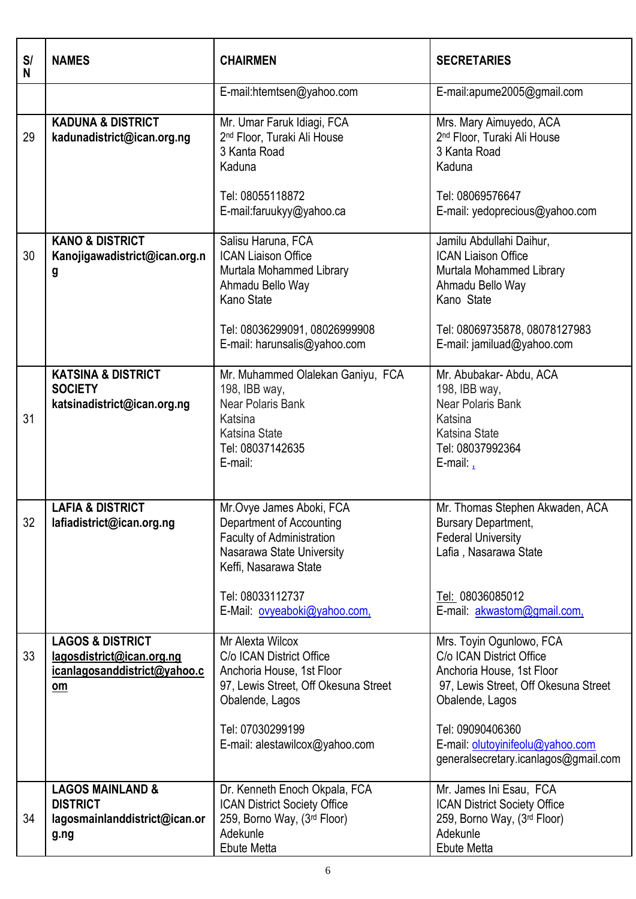| S/<br>N | <b>NAMES</b>                                                                                     | <b>CHAIRMEN</b>                                                                                                                                                                                    | <b>SECRETARIES</b>                                                                                                                                                                                                                           |
|---------|--------------------------------------------------------------------------------------------------|----------------------------------------------------------------------------------------------------------------------------------------------------------------------------------------------------|----------------------------------------------------------------------------------------------------------------------------------------------------------------------------------------------------------------------------------------------|
|         |                                                                                                  | E-mail:htemtsen@yahoo.com                                                                                                                                                                          | E-mail:apume2005@gmail.com                                                                                                                                                                                                                   |
| 29      | <b>KADUNA &amp; DISTRICT</b><br>kadunadistrict@ican.org.ng                                       | Mr. Umar Faruk Idiagi, FCA<br>2 <sup>nd</sup> Floor, Turaki Ali House<br>3 Kanta Road<br>Kaduna                                                                                                    | Mrs. Mary Aimuyedo, ACA<br>2 <sup>nd</sup> Floor, Turaki Ali House<br>3 Kanta Road<br>Kaduna                                                                                                                                                 |
|         |                                                                                                  | Tel: 08055118872<br>E-mail:faruukyy@yahoo.ca                                                                                                                                                       | Tel: 08069576647<br>E-mail: yedoprecious@yahoo.com                                                                                                                                                                                           |
| 30      | <b>KANO &amp; DISTRICT</b><br>Kanojigawadistrict@ican.org.n<br>g                                 | Salisu Haruna, FCA<br><b>ICAN Liaison Office</b><br>Murtala Mohammed Library<br>Ahmadu Bello Way<br>Kano State<br>Tel: 08036299091, 08026999908<br>E-mail: harunsalis@yahoo.com                    | Jamilu Abdullahi Daihur,<br><b>ICAN Liaison Office</b><br>Murtala Mohammed Library<br>Ahmadu Bello Way<br>Kano State<br>Tel: 08069735878, 08078127983<br>E-mail: jamiluad@yahoo.com                                                          |
| 31      | <b>KATSINA &amp; DISTRICT</b><br><b>SOCIETY</b><br>katsinadistrict@ican.org.ng                   | Mr. Muhammed Olalekan Ganiyu, FCA<br>198, IBB way,<br>Near Polaris Bank<br>Katsina<br><b>Katsina State</b><br>Tel: 08037142635<br>E-mail:                                                          | Mr. Abubakar- Abdu, ACA<br>198, IBB way,<br>Near Polaris Bank<br>Katsina<br><b>Katsina State</b><br>Tel: 08037992364<br>E-mail: $\frac{1}{1}$                                                                                                |
| 32      | <b>LAFIA &amp; DISTRICT</b><br>lafiadistrict@ican.org.ng                                         | Mr.Ovye James Aboki, FCA<br>Department of Accounting<br><b>Faculty of Administration</b><br>Nasarawa State University<br>Keffi, Nasarawa State<br>Tel: 08033112737<br>E-Mail: ovyeaboki@yahoo.com, | Mr. Thomas Stephen Akwaden, ACA<br><b>Bursary Department,</b><br><b>Federal University</b><br>Lafia, Nasarawa State<br>Tel: 08036085012<br>E-mail: akwastom@gmail.com,                                                                       |
| 33      | <b>LAGOS &amp; DISTRICT</b><br>lagosdistrict@ican.org.ng<br>icanlagosanddistrict@yahoo.c<br>$om$ | Mr Alexta Wilcox<br>C/o ICAN District Office<br>Anchoria House, 1st Floor<br>97, Lewis Street, Off Okesuna Street<br>Obalende, Lagos<br>Tel: 07030299199<br>E-mail: alestawilcox@yahoo.com         | Mrs. Toyin Ogunlowo, FCA<br>C/o ICAN District Office<br>Anchoria House, 1st Floor<br>97, Lewis Street, Off Okesuna Street<br>Obalende, Lagos<br>Tel: 09090406360<br>E-mail: olutoyinifeolu@yahoo.com<br>generalsecretary.icanlagos@gmail.com |
| 34      | <b>LAGOS MAINLAND &amp;</b><br><b>DISTRICT</b><br>lagosmainlanddistrict@ican.or<br>g.ng          | Dr. Kenneth Enoch Okpala, FCA<br><b>ICAN District Society Office</b><br>259, Borno Way, (3rd Floor)<br>Adekunle<br>Ebute Metta                                                                     | Mr. James Ini Esau, FCA<br><b>ICAN District Society Office</b><br>259, Borno Way, (3rd Floor)<br>Adekunle<br>Ebute Metta                                                                                                                     |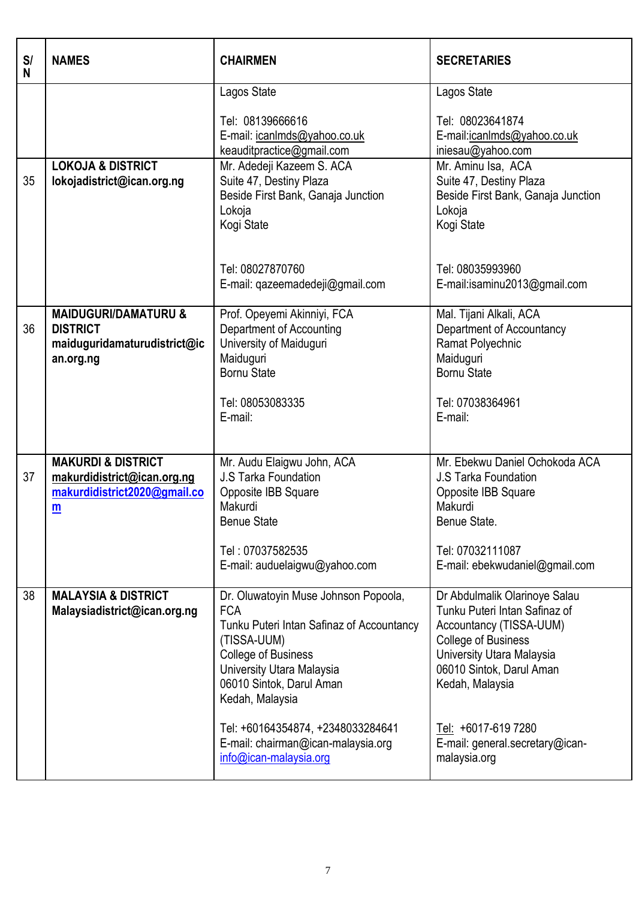| S/<br>N | <b>NAMES</b>                                                                                      | <b>CHAIRMEN</b>                                                                                                                                                                                                                                                                                                               | <b>SECRETARIES</b>                                                                                                                                                                                                                                                            |
|---------|---------------------------------------------------------------------------------------------------|-------------------------------------------------------------------------------------------------------------------------------------------------------------------------------------------------------------------------------------------------------------------------------------------------------------------------------|-------------------------------------------------------------------------------------------------------------------------------------------------------------------------------------------------------------------------------------------------------------------------------|
|         |                                                                                                   | Lagos State<br>Tel: 08139666616<br>E-mail: icanImds@yahoo.co.uk<br>keauditpractice@gmail.com                                                                                                                                                                                                                                  | Lagos State<br>Tel: 08023641874<br>E-mail:jcanlmds@yahoo.co.uk<br>iniesau@yahoo.com                                                                                                                                                                                           |
| 35      | <b>LOKOJA &amp; DISTRICT</b><br>lokojadistrict@ican.org.ng                                        | Mr. Adedeji Kazeem S. ACA<br>Suite 47, Destiny Plaza<br>Beside First Bank, Ganaja Junction<br>Lokoja<br>Kogi State<br>Tel: 08027870760<br>E-mail: qazeemadedeji@gmail.com                                                                                                                                                     | Mr. Aminu Isa, ACA<br>Suite 47, Destiny Plaza<br>Beside First Bank, Ganaja Junction<br>Lokoja<br>Kogi State<br>Tel: 08035993960<br>E-mail:isaminu2013@gmail.com                                                                                                               |
| 36      | <b>MAIDUGURI/DAMATURU &amp;</b><br><b>DISTRICT</b><br>maiduguridamaturudistrict@ic<br>an.org.ng   | Prof. Opeyemi Akinniyi, FCA<br>Department of Accounting<br>University of Maiduguri<br>Maiduguri<br><b>Bornu State</b><br>Tel: 08053083335<br>E-mail:                                                                                                                                                                          | Mal. Tijani Alkali, ACA<br>Department of Accountancy<br>Ramat Polyechnic<br>Maiduguri<br><b>Bornu State</b><br>Tel: 07038364961<br>E-mail:                                                                                                                                    |
| 37      | <b>MAKURDI &amp; DISTRICT</b><br>makurdidistrict@ican.org.ng<br>makurdidistrict2020@gmail.co<br>m | Mr. Audu Elaigwu John, ACA<br>J.S Tarka Foundation<br>Opposite IBB Square<br>Makurdi<br><b>Benue State</b><br>Tel: 07037582535<br>E-mail: auduelaigwu@yahoo.com                                                                                                                                                               | Mr. Ebekwu Daniel Ochokoda ACA<br><b>J.S Tarka Foundation</b><br>Opposite IBB Square<br>Makurdi<br>Benue State.<br>Tel: 07032111087<br>E-mail: ebekwudaniel@gmail.com                                                                                                         |
| 38      | <b>MALAYSIA &amp; DISTRICT</b><br>Malaysiadistrict@ican.org.ng                                    | Dr. Oluwatoyin Muse Johnson Popoola,<br><b>FCA</b><br>Tunku Puteri Intan Safinaz of Accountancy<br>(TISSA-UUM)<br><b>College of Business</b><br>University Utara Malaysia<br>06010 Sintok, Darul Aman<br>Kedah, Malaysia<br>Tel: +60164354874, +2348033284641<br>E-mail: chairman@ican-malaysia.org<br>info@ican-malaysia.org | Dr Abdulmalik Olarinoye Salau<br>Tunku Puteri Intan Safinaz of<br>Accountancy (TISSA-UUM)<br><b>College of Business</b><br>University Utara Malaysia<br>06010 Sintok, Darul Aman<br>Kedah, Malaysia<br>Tel: +6017-619 7280<br>E-mail: general.secretary@ican-<br>malaysia.org |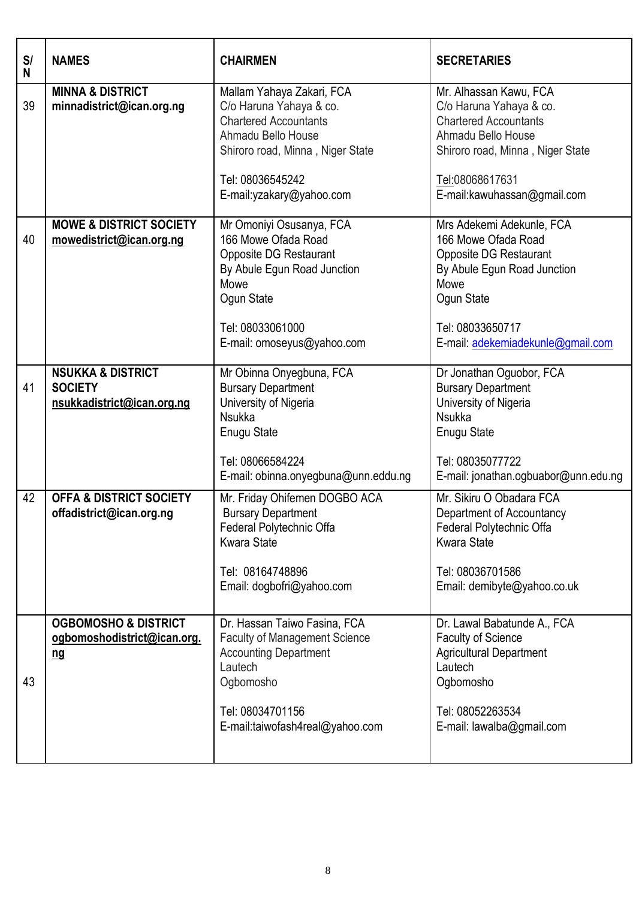| S/<br>N | <b>NAMES</b>                                                                 | <b>CHAIRMEN</b>                                                                                                                                                                                | <b>SECRETARIES</b>                                                                                                                                                                            |
|---------|------------------------------------------------------------------------------|------------------------------------------------------------------------------------------------------------------------------------------------------------------------------------------------|-----------------------------------------------------------------------------------------------------------------------------------------------------------------------------------------------|
| 39      | <b>MINNA &amp; DISTRICT</b><br>minnadistrict@ican.org.ng                     | Mallam Yahaya Zakari, FCA<br>C/o Haruna Yahaya & co.<br><b>Chartered Accountants</b><br>Ahmadu Bello House<br>Shiroro road, Minna, Niger State<br>Tel: 08036545242<br>E-mail:yzakary@yahoo.com | Mr. Alhassan Kawu, FCA<br>C/o Haruna Yahaya & co.<br><b>Chartered Accountants</b><br>Ahmadu Bello House<br>Shiroro road, Minna, Niger State<br>Tel:08068617631<br>E-mail:kawuhassan@gmail.com |
| 40      | <b>MOWE &amp; DISTRICT SOCIETY</b><br>mowedistrict@ican.org.ng               | Mr Omoniyi Osusanya, FCA<br>166 Mowe Ofada Road<br>Opposite DG Restaurant<br>By Abule Egun Road Junction<br>Mowe<br>Ogun State<br>Tel: 08033061000<br>E-mail: omoseyus@yahoo.com               | Mrs Adekemi Adekunle, FCA<br>166 Mowe Ofada Road<br>Opposite DG Restaurant<br>By Abule Egun Road Junction<br>Mowe<br>Ogun State<br>Tel: 08033650717<br>E-mail: adekemiadekunle@gmail.com      |
| 41      | <b>NSUKKA &amp; DISTRICT</b><br><b>SOCIETY</b><br>nsukkadistrict@ican.org.ng | Mr Obinna Onyegbuna, FCA<br><b>Bursary Department</b><br>University of Nigeria<br><b>Nsukka</b><br>Enugu State<br>Tel: 08066584224<br>E-mail: obinna.onyegbuna@unn.eddu.ng                     | Dr Jonathan Oguobor, FCA<br><b>Bursary Department</b><br>University of Nigeria<br><b>Nsukka</b><br>Enugu State<br>Tel: 08035077722<br>E-mail: jonathan.ogbuabor@unn.edu.ng                    |
| 42      | <b>OFFA &amp; DISTRICT SOCIETY</b><br>offadistrict@ican.org.ng               | Mr. Friday Ohifemen DOGBO ACA<br><b>Bursary Department</b><br>Federal Polytechnic Offa<br><b>Kwara State</b><br>Tel: 08164748896<br>Email: dogbofri@yahoo.com                                  | Mr. Sikiru O Obadara FCA<br>Department of Accountancy<br>Federal Polytechnic Offa<br><b>Kwara State</b><br>Tel: 08036701586<br>Email: demibyte@yahoo.co.uk                                    |
| 43      | <b>OGBOMOSHO &amp; DISTRICT</b><br>ogbomoshodistrict@ican.org.<br><u>ng</u>  | Dr. Hassan Taiwo Fasina, FCA<br><b>Faculty of Management Science</b><br><b>Accounting Department</b><br>Lautech<br>Ogbomosho<br>Tel: 08034701156<br>E-mail:taiwofash4real@yahoo.com            | Dr. Lawal Babatunde A., FCA<br><b>Faculty of Science</b><br>Agricultural Department<br>Lautech<br>Ogbomosho<br>Tel: 08052263534<br>E-mail: lawalba@gmail.com                                  |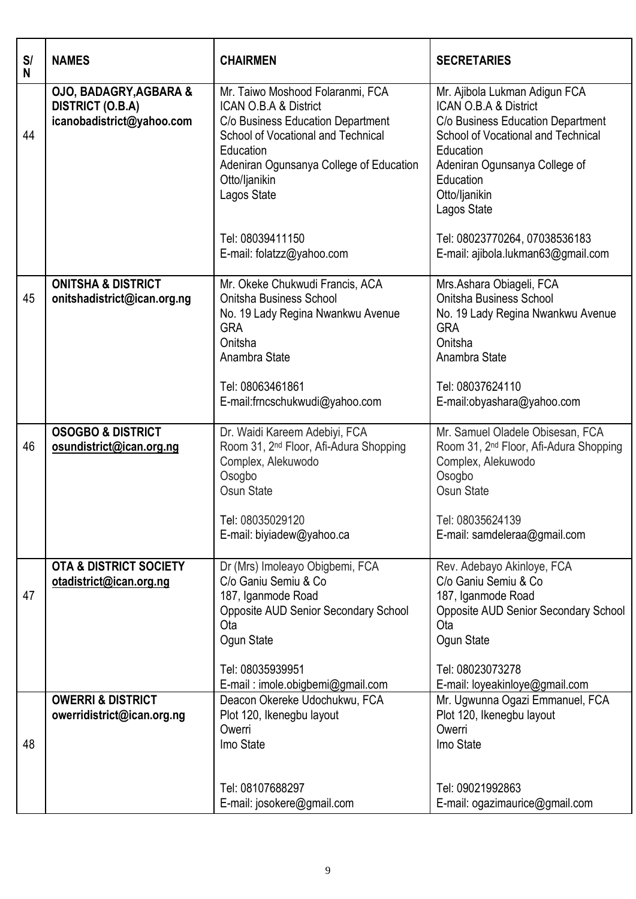| S/<br>N | <b>NAMES</b>                                                                              | <b>CHAIRMEN</b>                                                                                                                                                                                                              | <b>SECRETARIES</b>                                                                                                                                                                                                           |
|---------|-------------------------------------------------------------------------------------------|------------------------------------------------------------------------------------------------------------------------------------------------------------------------------------------------------------------------------|------------------------------------------------------------------------------------------------------------------------------------------------------------------------------------------------------------------------------|
| 44      | <b>OJO, BADAGRY, AGBARA &amp;</b><br><b>DISTRICT (O.B.A)</b><br>icanobadistrict@yahoo.com | Mr. Taiwo Moshood Folaranmi, FCA<br>ICAN O.B.A & District<br>C/o Business Education Department<br>School of Vocational and Technical<br>Education<br>Adeniran Ogunsanya College of Education<br>Otto/ljanikin<br>Lagos State | Mr. Ajibola Lukman Adigun FCA<br>ICAN O.B.A & District<br>C/o Business Education Department<br>School of Vocational and Technical<br>Education<br>Adeniran Ogunsanya College of<br>Education<br>Otto/ljanikin<br>Lagos State |
|         |                                                                                           | Tel: 08039411150<br>E-mail: folatzz@yahoo.com                                                                                                                                                                                | Tel: 08023770264, 07038536183<br>E-mail: ajibola.lukman63@gmail.com                                                                                                                                                          |
| 45      | <b>ONITSHA &amp; DISTRICT</b><br>onitshadistrict@ican.org.ng                              | Mr. Okeke Chukwudi Francis, ACA<br>Onitsha Business School<br>No. 19 Lady Regina Nwankwu Avenue<br><b>GRA</b><br>Onitsha<br>Anambra State                                                                                    | Mrs.Ashara Obiageli, FCA<br>Onitsha Business School<br>No. 19 Lady Regina Nwankwu Avenue<br><b>GRA</b><br>Onitsha<br>Anambra State                                                                                           |
|         |                                                                                           | Tel: 08063461861<br>E-mail:frncschukwudi@yahoo.com                                                                                                                                                                           | Tel: 08037624110<br>E-mail:obyashara@yahoo.com                                                                                                                                                                               |
| 46      | <b>OSOGBO &amp; DISTRICT</b><br>osundistrict@ican.org.ng                                  | Dr. Waidi Kareem Adebiyi, FCA<br>Room 31, 2 <sup>nd</sup> Floor, Afi-Adura Shopping<br>Complex, Alekuwodo<br>Osogbo<br>Osun State<br>Tel: 08035029120<br>E-mail: biyiadew@yahoo.ca                                           | Mr. Samuel Oladele Obisesan, FCA<br>Room 31, 2 <sup>nd</sup> Floor, Afi-Adura Shopping<br>Complex, Alekuwodo<br>Osogbo<br>Osun State<br>Tel: 08035624139<br>E-mail: samdeleraa@gmail.com                                     |
| 47      | <b>OTA &amp; DISTRICT SOCIETY</b><br>otadistrict@ican.org.ng                              | Dr (Mrs) Imoleayo Obigbemi, FCA<br>C/o Ganiu Semiu & Co<br>187, Iganmode Road<br><b>Opposite AUD Senior Secondary School</b><br>Ota<br>Ogun State<br>Tel: 08035939951<br>E-mail: imole.obigbemi@gmail.com                    | Rev. Adebayo Akinloye, FCA<br>C/o Ganiu Semiu & Co<br>187, Iganmode Road<br><b>Opposite AUD Senior Secondary School</b><br>Ota<br>Ogun State<br>Tel: 08023073278<br>E-mail: loyeakinloye@gmail.com                           |
| 48      | <b>OWERRI &amp; DISTRICT</b><br>owerridistrict@ican.org.ng                                | Deacon Okereke Udochukwu, FCA<br>Plot 120, Ikenegbu layout<br>Owerri<br>Imo State<br>Tel: 08107688297                                                                                                                        | Mr. Ugwunna Ogazi Emmanuel, FCA<br>Plot 120, Ikenegbu layout<br>Owerri<br>Imo State<br>Tel: 09021992863                                                                                                                      |
|         |                                                                                           | E-mail: josokere@gmail.com                                                                                                                                                                                                   | E-mail: ogazimaurice@gmail.com                                                                                                                                                                                               |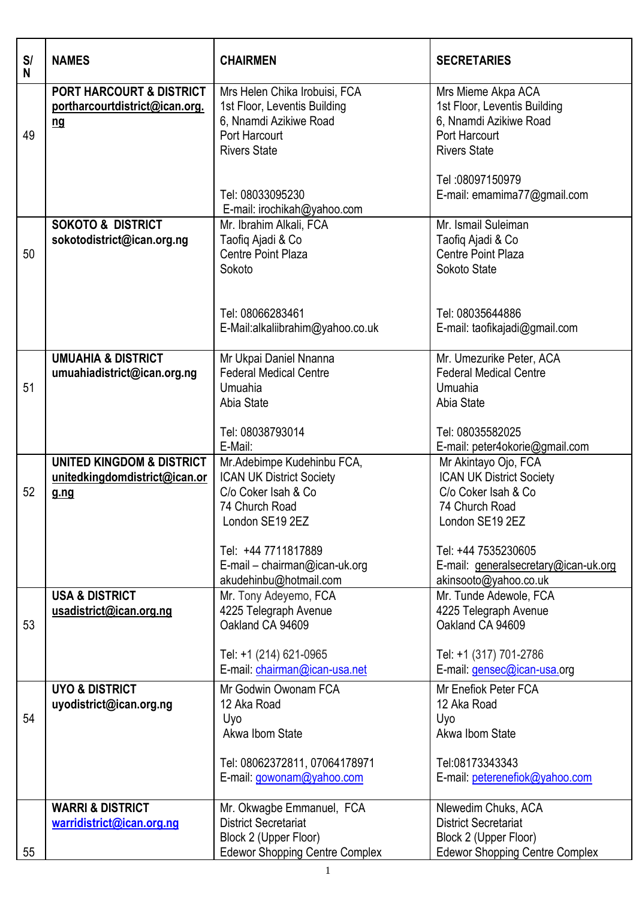| S/<br>N | <b>NAMES</b>                                                                     | <b>CHAIRMEN</b>                                                                                                                 | <b>SECRETARIES</b>                                                                                                   |
|---------|----------------------------------------------------------------------------------|---------------------------------------------------------------------------------------------------------------------------------|----------------------------------------------------------------------------------------------------------------------|
| 49      | <b>PORT HARCOURT &amp; DISTRICT</b><br>portharcourtdistrict@ican.org.<br>$ng$    | Mrs Helen Chika Irobuisi, FCA<br>1st Floor, Leventis Building<br>6, Nnamdi Azikiwe Road<br>Port Harcourt<br><b>Rivers State</b> | Mrs Mieme Akpa ACA<br>1st Floor, Leventis Building<br>6, Nnamdi Azikiwe Road<br>Port Harcourt<br><b>Rivers State</b> |
|         |                                                                                  | Tel: 08033095230<br>E-mail: irochikah@yahoo.com                                                                                 | Tel: 08097150979<br>E-mail: emamima77@gmail.com                                                                      |
| 50      | <b>SOKOTO &amp; DISTRICT</b><br>sokotodistrict@ican.org.ng                       | Mr. Ibrahim Alkali, FCA<br>Taofiq Ajadi & Co<br>Centre Point Plaza<br>Sokoto                                                    | Mr. Ismail Suleiman<br>Taofiq Ajadi & Co<br>Centre Point Plaza<br>Sokoto State                                       |
|         |                                                                                  | Tel: 08066283461<br>E-Mail:alkaliibrahim@yahoo.co.uk                                                                            | Tel: 08035644886<br>E-mail: taofikajadi@gmail.com                                                                    |
| 51      | <b>UMUAHIA &amp; DISTRICT</b><br>umuahiadistrict@ican.org.ng                     | Mr Ukpai Daniel Nnanna<br><b>Federal Medical Centre</b><br>Umuahia<br>Abia State                                                | Mr. Umezurike Peter, ACA<br><b>Federal Medical Centre</b><br>Umuahia<br>Abia State                                   |
|         |                                                                                  | Tel: 08038793014<br>E-Mail:                                                                                                     | Tel: 08035582025<br>E-mail: peter4okorie@gmail.com                                                                   |
| 52      | <b>UNITED KINGDOM &amp; DISTRICT</b><br>unitedkingdomdistrict@ican.or<br>$g$ .ng | Mr.Adebimpe Kudehinbu FCA,<br><b>ICAN UK District Society</b><br>C/o Coker Isah & Co<br>74 Church Road<br>London SE19 2EZ       | Mr Akintayo Ojo, FCA<br><b>ICAN UK District Society</b><br>C/o Coker Isah & Co<br>74 Church Road<br>London SE19 2EZ  |
|         |                                                                                  | Tel: +44 7711817889<br>E-mail - chairman@ican-uk.org<br>akudehinbu@hotmail.com                                                  | Tel: +44 7535230605<br>E-mail: generalsecretary@ican-uk.org<br>akinsooto@yahoo.co.uk                                 |
| 53      | <b>USA &amp; DISTRICT</b><br>usadistrict@ican.org.ng                             | Mr. Tony Adeyemo, FCA<br>4225 Telegraph Avenue<br>Oakland CA 94609                                                              | Mr. Tunde Adewole, FCA<br>4225 Telegraph Avenue<br>Oakland CA 94609                                                  |
|         |                                                                                  | Tel: +1 (214) 621-0965<br>E-mail: chairman@ican-usa.net                                                                         | Tel: +1 (317) 701-2786<br>E-mail: gensec@ican-usa.org                                                                |
| 54      | <b>UYO &amp; DISTRICT</b><br>uyodistrict@ican.org.ng                             | Mr Godwin Owonam FCA<br>12 Aka Road<br>Uyo<br>Akwa Ibom State                                                                   | Mr Enefiok Peter FCA<br>12 Aka Road<br>Uyo<br>Akwa Ibom State                                                        |
|         |                                                                                  | Tel: 08062372811, 07064178971<br>E-mail: gowonam@yahoo.com                                                                      | Tel:08173343343<br>E-mail: peterenefiok@yahoo.com                                                                    |
| 55      | <b>WARRI &amp; DISTRICT</b><br>warridistrict@ican.org.ng                         | Mr. Okwagbe Emmanuel, FCA<br><b>District Secretariat</b><br>Block 2 (Upper Floor)<br><b>Edewor Shopping Centre Complex</b>      | Nlewedim Chuks, ACA<br><b>District Secretariat</b><br>Block 2 (Upper Floor)<br><b>Edewor Shopping Centre Complex</b> |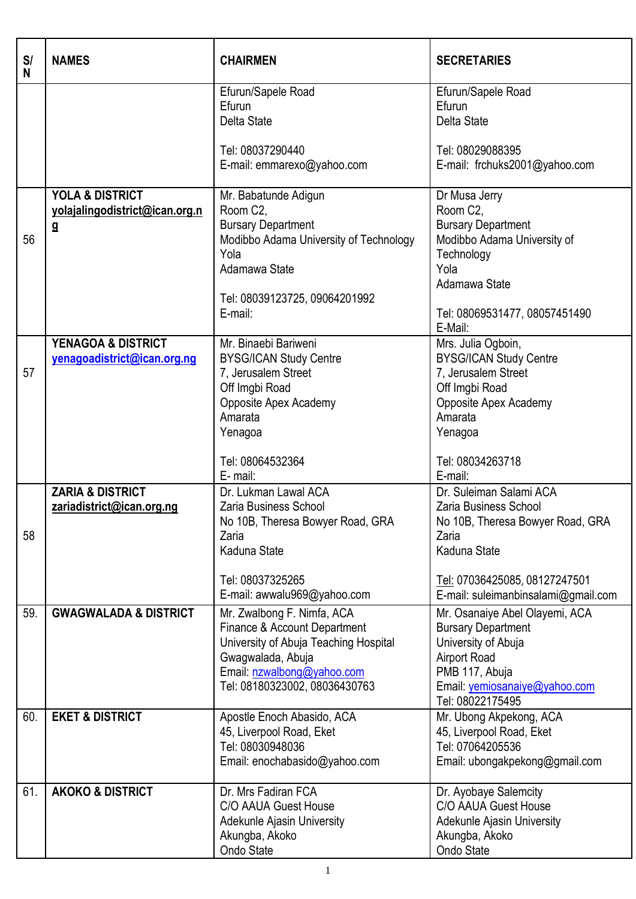| S/<br>N | <b>NAMES</b>                                                                | <b>CHAIRMEN</b>                                                                                                                                                                         | <b>SECRETARIES</b>                                                                                                                                                                           |
|---------|-----------------------------------------------------------------------------|-----------------------------------------------------------------------------------------------------------------------------------------------------------------------------------------|----------------------------------------------------------------------------------------------------------------------------------------------------------------------------------------------|
|         |                                                                             | Efurun/Sapele Road<br>Efurun<br>Delta State<br>Tel: 08037290440                                                                                                                         | Efurun/Sapele Road<br>Efurun<br>Delta State<br>Tel: 08029088395                                                                                                                              |
|         |                                                                             | E-mail: emmarexo@yahoo.com                                                                                                                                                              | E-mail: frchuks2001@yahoo.com                                                                                                                                                                |
| 56      | <b>YOLA &amp; DISTRICT</b><br>yolajalingodistrict@ican.org.n<br>$\mathbf g$ | Mr. Babatunde Adigun<br>Room C2,<br><b>Bursary Department</b><br>Modibbo Adama University of Technology<br>Yola<br>Adamawa State<br>Tel: 08039123725, 09064201992<br>E-mail:            | Dr Musa Jerry<br>Room C2,<br><b>Bursary Department</b><br>Modibbo Adama University of<br>Technology<br>Yola<br>Adamawa State<br>Tel: 08069531477, 08057451490<br>E-Mail:                     |
| 57      | <b>YENAGOA &amp; DISTRICT</b><br>yenagoadistrict@ican.org.ng                | Mr. Binaebi Bariweni<br><b>BYSG/ICAN Study Centre</b><br>7, Jerusalem Street<br>Off Imgbi Road<br>Opposite Apex Academy<br>Amarata<br>Yenagoa<br>Tel: 08064532364<br>E-mail:            | Mrs. Julia Ogboin,<br><b>BYSG/ICAN Study Centre</b><br>7, Jerusalem Street<br>Off Imgbi Road<br>Opposite Apex Academy<br>Amarata<br>Yenagoa<br>Tel: 08034263718<br>E-mail:                   |
| 58      | <b>ZARIA &amp; DISTRICT</b><br>zariadistrict@ican.org.ng                    | Dr. Lukman Lawal ACA<br>Zaria Business School<br>No 10B, Theresa Bowyer Road, GRA<br>Zaria<br>Kaduna State<br>Tel: 08037325265<br>E-mail: awwalu969@yahoo.com                           | Dr. Suleiman Salami ACA<br><b>Zaria Business School</b><br>No 10B, Theresa Bowyer Road, GRA<br>Zaria<br>Kaduna State<br>Tel: 07036425085, 08127247501<br>E-mail: suleimanbinsalami@gmail.com |
| 59.     | <b>GWAGWALADA &amp; DISTRICT</b>                                            | Mr. Zwalbong F. Nimfa, ACA<br>Finance & Account Department<br>University of Abuja Teaching Hospital<br>Gwagwalada, Abuja<br>Email: nzwalbong@yahoo.com<br>Tel: 08180323002, 08036430763 | Mr. Osanaiye Abel Olayemi, ACA<br><b>Bursary Department</b><br>University of Abuja<br><b>Airport Road</b><br>PMB 117, Abuja<br>Email: yemiosanaiye@yahoo.com<br>Tel: 08022175495             |
| 60.     | <b>EKET &amp; DISTRICT</b>                                                  | Apostle Enoch Abasido, ACA<br>45, Liverpool Road, Eket<br>Tel: 08030948036<br>Email: enochabasido@yahoo.com                                                                             | Mr. Ubong Akpekong, ACA<br>45, Liverpool Road, Eket<br>Tel: 07064205536<br>Email: ubongakpekong@gmail.com                                                                                    |
| 61.     | <b>AKOKO &amp; DISTRICT</b>                                                 | Dr. Mrs Fadiran FCA<br>C/O AAUA Guest House<br>Adekunle Ajasin University<br>Akungba, Akoko<br>Ondo State                                                                               | Dr. Ayobaye Salemcity<br>C/O AAUA Guest House<br>Adekunle Ajasin University<br>Akungba, Akoko<br>Ondo State                                                                                  |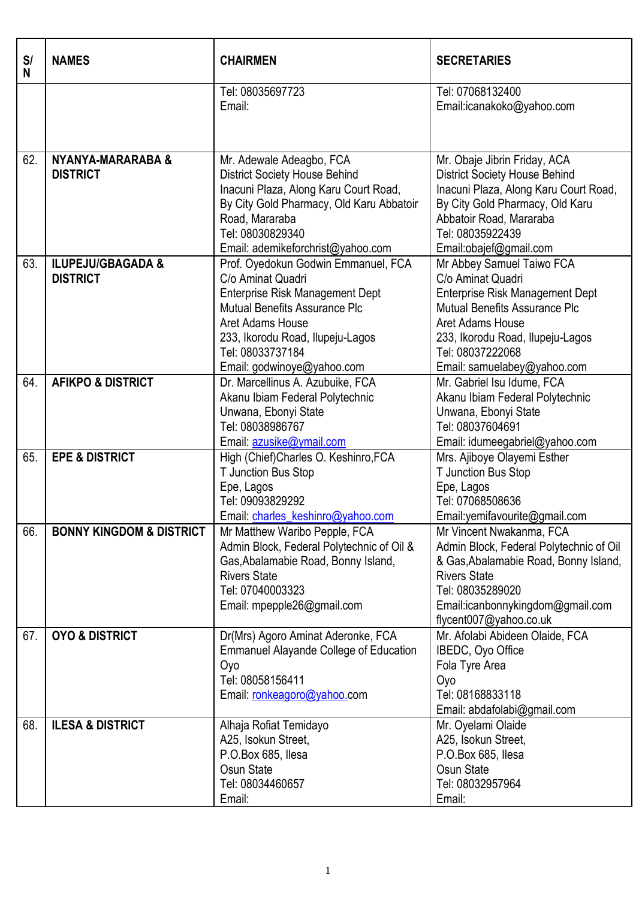| S/<br>N | <b>NAMES</b>                                    | <b>CHAIRMEN</b>                                                                                                                                                                                                                               | <b>SECRETARIES</b>                                                                                                                                                                                                                          |
|---------|-------------------------------------------------|-----------------------------------------------------------------------------------------------------------------------------------------------------------------------------------------------------------------------------------------------|---------------------------------------------------------------------------------------------------------------------------------------------------------------------------------------------------------------------------------------------|
|         |                                                 | Tel: 08035697723<br>Email:                                                                                                                                                                                                                    | Tel: 07068132400<br>Email:icanakoko@yahoo.com                                                                                                                                                                                               |
| 62.     | NYANYA-MARARABA &<br><b>DISTRICT</b>            | Mr. Adewale Adeagbo, FCA<br><b>District Society House Behind</b><br>Inacuni Plaza, Along Karu Court Road,<br>By City Gold Pharmacy, Old Karu Abbatoir<br>Road, Mararaba<br>Tel: 08030829340<br>Email: ademikeforchrist@yahoo.com              | Mr. Obaje Jibrin Friday, ACA<br><b>District Society House Behind</b><br>Inacuni Plaza, Along Karu Court Road,<br>By City Gold Pharmacy, Old Karu<br>Abbatoir Road, Mararaba<br>Tel: 08035922439<br>Email:obajef@gmail.com                   |
| 63.     | <b>ILUPEJU/GBAGADA &amp;</b><br><b>DISTRICT</b> | Prof. Oyedokun Godwin Emmanuel, FCA<br>C/o Aminat Quadri<br>Enterprise Risk Management Dept<br>Mutual Benefits Assurance Plc<br><b>Aret Adams House</b><br>233, Ikorodu Road, Ilupeju-Lagos<br>Tel: 08033737184<br>Email: godwinoye@yahoo.com | Mr Abbey Samuel Taiwo FCA<br>C/o Aminat Quadri<br><b>Enterprise Risk Management Dept</b><br><b>Mutual Benefits Assurance Plc</b><br>Aret Adams House<br>233, Ikorodu Road, Ilupeju-Lagos<br>Tel: 08037222068<br>Email: samuelabey@yahoo.com |
| 64.     | <b>AFIKPO &amp; DISTRICT</b>                    | Dr. Marcellinus A. Azubuike, FCA<br>Akanu Ibiam Federal Polytechnic<br>Unwana, Ebonyi State<br>Tel: 08038986767<br>Email: azusike@ymail.com                                                                                                   | Mr. Gabriel Isu Idume, FCA<br>Akanu Ibiam Federal Polytechnic<br>Unwana, Ebonyi State<br>Tel: 08037604691<br>Email: idumeegabriel@yahoo.com                                                                                                 |
| 65.     | <b>EPE &amp; DISTRICT</b>                       | High (Chief)Charles O. Keshinro, FCA<br>T Junction Bus Stop<br>Epe, Lagos<br>Tel: 09093829292<br>Email: charles_keshinro@yahoo.com                                                                                                            | Mrs. Ajiboye Olayemi Esther<br>T Junction Bus Stop<br>Epe, Lagos<br>Tel: 07068508636<br>Email:yemifavourite@gmail.com                                                                                                                       |
| 66.     | <b>BONNY KINGDOM &amp; DISTRICT</b>             | Mr Matthew Waribo Pepple, FCA<br>Admin Block, Federal Polytechnic of Oil &<br>Gas, Abalamabie Road, Bonny Island,<br><b>Rivers State</b><br>Tel: 07040003323<br>Email: mpepple26@gmail.com                                                    | Mr Vincent Nwakanma, FCA<br>Admin Block, Federal Polytechnic of Oil<br>& Gas, Abalamabie Road, Bonny Island,<br><b>Rivers State</b><br>Tel: 08035289020<br>Email:icanbonnykingdom@gmail.com<br>flycent007@yahoo.co.uk                       |
| 67.     | <b>OYO &amp; DISTRICT</b>                       | Dr(Mrs) Agoro Aminat Aderonke, FCA<br><b>Emmanuel Alayande College of Education</b><br>Oyo<br>Tel: 08058156411<br>Email: ronkeagoro@yahoo.com                                                                                                 | Mr. Afolabi Abideen Olaide, FCA<br>IBEDC, Oyo Office<br>Fola Tyre Area<br>Oyo<br>Tel: 08168833118<br>Email: abdafolabi@gmail.com                                                                                                            |
| 68.     | <b>ILESA &amp; DISTRICT</b>                     | Alhaja Rofiat Temidayo<br>A25, Isokun Street,<br>P.O.Box 685, Ilesa<br>Osun State<br>Tel: 08034460657<br>Email:                                                                                                                               | Mr. Oyelami Olaide<br>A25, Isokun Street,<br>P.O.Box 685, Ilesa<br>Osun State<br>Tel: 08032957964<br>Email:                                                                                                                                 |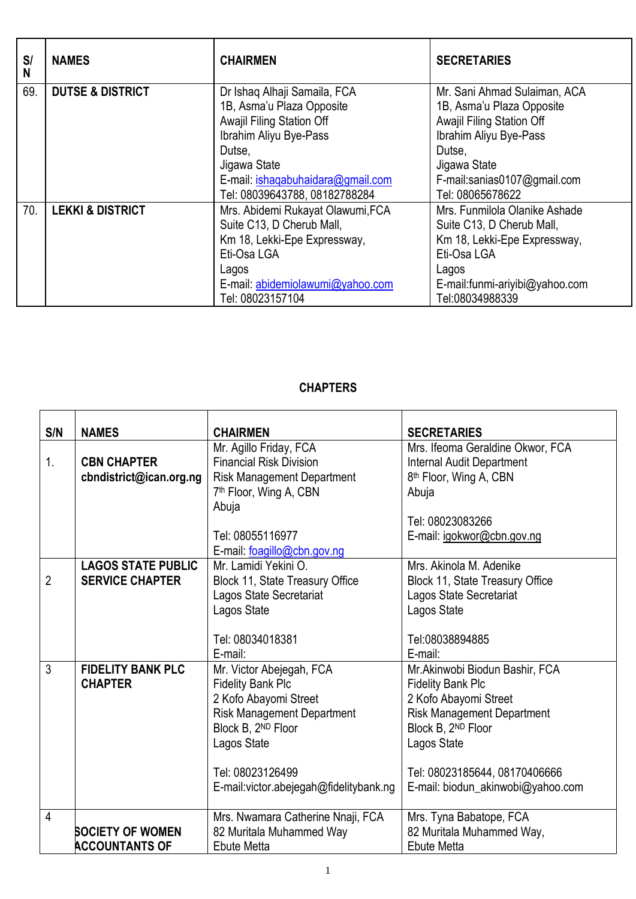| S/<br>N | <b>NAMES</b>                | <b>CHAIRMEN</b>                                                                                                                                                                                                  | <b>SECRETARIES</b>                                                                                                                                                                            |
|---------|-----------------------------|------------------------------------------------------------------------------------------------------------------------------------------------------------------------------------------------------------------|-----------------------------------------------------------------------------------------------------------------------------------------------------------------------------------------------|
| 69.     | <b>DUTSE &amp; DISTRICT</b> | Dr Ishaq Alhaji Samaila, FCA<br>1B, Asma'u Plaza Opposite<br>Awajil Filing Station Off<br>Ibrahim Aliyu Bye-Pass<br>Dutse.<br>Jigawa State<br>E-mail: ishaqabuhaidara@gmail.com<br>Tel: 08039643788, 08182788284 | Mr. Sani Ahmad Sulaiman, ACA<br>1B, Asma'u Plaza Opposite<br>Awajil Filing Station Off<br>Ibrahim Aliyu Bye-Pass<br>Dutse.<br>Jigawa State<br>F-mail:sanias0107@gmail.com<br>Tel: 08065678622 |
| 70.     | <b>LEKKI &amp; DISTRICT</b> | Mrs. Abidemi Rukayat Olawumi, FCA<br>Suite C13, D Cherub Mall,<br>Km 18, Lekki-Epe Expressway,<br>Eti-Osa LGA<br>Lagos<br>E-mail: abidemiolawumi@yahoo.com<br>Tel: 08023157104                                   | Mrs. Funmilola Olanike Ashade<br>Suite C13, D Cherub Mall,<br>Km 18, Lekki-Epe Expressway,<br>Eti-Osa LGA<br>Lagos<br>E-mail:funmi-ariyibi@yahoo.com<br>Tel:08034988339                       |

## **CHAPTERS**

| S/N            | <b>NAMES</b>              | <b>CHAIRMEN</b>                         | <b>SECRETARIES</b>                 |
|----------------|---------------------------|-----------------------------------------|------------------------------------|
|                |                           | Mr. Agillo Friday, FCA                  | Mrs. Ifeoma Geraldine Okwor, FCA   |
| 1.             | <b>CBN CHAPTER</b>        | <b>Financial Risk Division</b>          | <b>Internal Audit Department</b>   |
|                | cbndistrict@ican.org.ng   | <b>Risk Management Department</b>       | 8 <sup>th</sup> Floor, Wing A, CBN |
|                |                           | 7 <sup>th</sup> Floor, Wing A, CBN      | Abuja                              |
|                |                           | Abuja                                   |                                    |
|                |                           |                                         | Tel: 08023083266                   |
|                |                           | Tel: 08055116977                        | E-mail: igokwor@cbn.gov.ng         |
|                |                           | E-mail: foagillo@cbn.gov.ng             |                                    |
|                | <b>LAGOS STATE PUBLIC</b> | Mr. Lamidi Yekini O.                    | Mrs. Akinola M. Adenike            |
| $\overline{2}$ | <b>SERVICE CHAPTER</b>    | Block 11, State Treasury Office         | Block 11, State Treasury Office    |
|                |                           | Lagos State Secretariat                 | Lagos State Secretariat            |
|                |                           | Lagos State                             | Lagos State                        |
|                |                           |                                         |                                    |
|                |                           | Tel: 08034018381                        | Tel:08038894885                    |
|                |                           | E-mail:                                 | E-mail:                            |
| $\mathfrak{Z}$ | <b>FIDELITY BANK PLC</b>  | Mr. Victor Abejegah, FCA                | Mr.Akinwobi Biodun Bashir, FCA     |
|                | <b>CHAPTER</b>            | <b>Fidelity Bank Plc</b>                | <b>Fidelity Bank Plc</b>           |
|                |                           | 2 Kofo Abayomi Street                   | 2 Kofo Abayomi Street              |
|                |                           | <b>Risk Management Department</b>       | <b>Risk Management Department</b>  |
|                |                           | Block B, 2ND Floor                      | Block B, 2ND Floor                 |
|                |                           | Lagos State                             | Lagos State                        |
|                |                           |                                         |                                    |
|                |                           | Tel: 08023126499                        | Tel: 08023185644, 08170406666      |
|                |                           | E-mail: victor.abejegah@fidelitybank.ng | E-mail: biodun_akinwobi@yahoo.com  |
| $\overline{4}$ |                           | Mrs. Nwamara Catherine Nnaji, FCA       | Mrs. Tyna Babatope, FCA            |
|                | <b>SOCIETY OF WOMEN</b>   | 82 Muritala Muhammed Way                | 82 Muritala Muhammed Way,          |
|                | <b>ACCOUNTANTS OF</b>     | <b>Ebute Metta</b>                      | <b>Ebute Metta</b>                 |